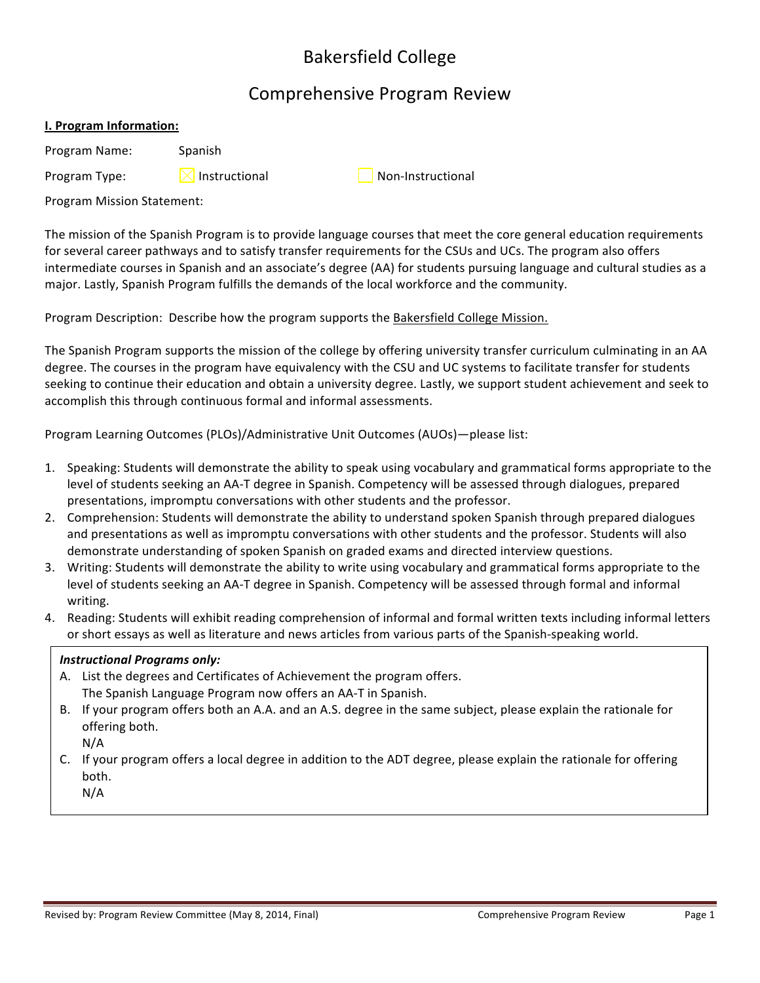# Bakersfield College

# Comprehensive Program Review

# **I. Program Information:**

Program Name: Spanish

**Program Type:**  $\boxtimes$  Instructional Non-Instructional

Program Mission Statement:

The mission of the Spanish Program is to provide language courses that meet the core general education requirements for several career pathways and to satisfy transfer requirements for the CSUs and UCs. The program also offers intermediate courses in Spanish and an associate's degree (AA) for students pursuing language and cultural studies as a major. Lastly, Spanish Program fulfills the demands of the local workforce and the community.

Program Description: Describe how the program supports the Bakersfield College Mission.

The Spanish Program supports the mission of the college by offering university transfer curriculum culminating in an AA degree. The courses in the program have equivalency with the CSU and UC systems to facilitate transfer for students seeking to continue their education and obtain a university degree. Lastly, we support student achievement and seek to accomplish this through continuous formal and informal assessments.

Program Learning Outcomes (PLOs)/Administrative Unit Outcomes (AUOs)—please list:

- 1. Speaking: Students will demonstrate the ability to speak using vocabulary and grammatical forms appropriate to the level of students seeking an AA-T degree in Spanish. Competency will be assessed through dialogues, prepared presentations, impromptu conversations with other students and the professor.
- 2. Comprehension: Students will demonstrate the ability to understand spoken Spanish through prepared dialogues and presentations as well as impromptu conversations with other students and the professor. Students will also demonstrate understanding of spoken Spanish on graded exams and directed interview questions.
- 3. Writing: Students will demonstrate the ability to write using vocabulary and grammatical forms appropriate to the level of students seeking an AA-T degree in Spanish. Competency will be assessed through formal and informal writing.
- 4. Reading: Students will exhibit reading comprehension of informal and formal written texts including informal letters or short essays as well as literature and news articles from various parts of the Spanish-speaking world.

### **Instructional Programs only:**

- A. List the degrees and Certificates of Achievement the program offers. The Spanish Language Program now offers an AA-T in Spanish.
- B. If your program offers both an A.A. and an A.S. degree in the same subject, please explain the rationale for offering both.

N/A

C. If your program offers a local degree in addition to the ADT degree, please explain the rationale for offering both.

N/A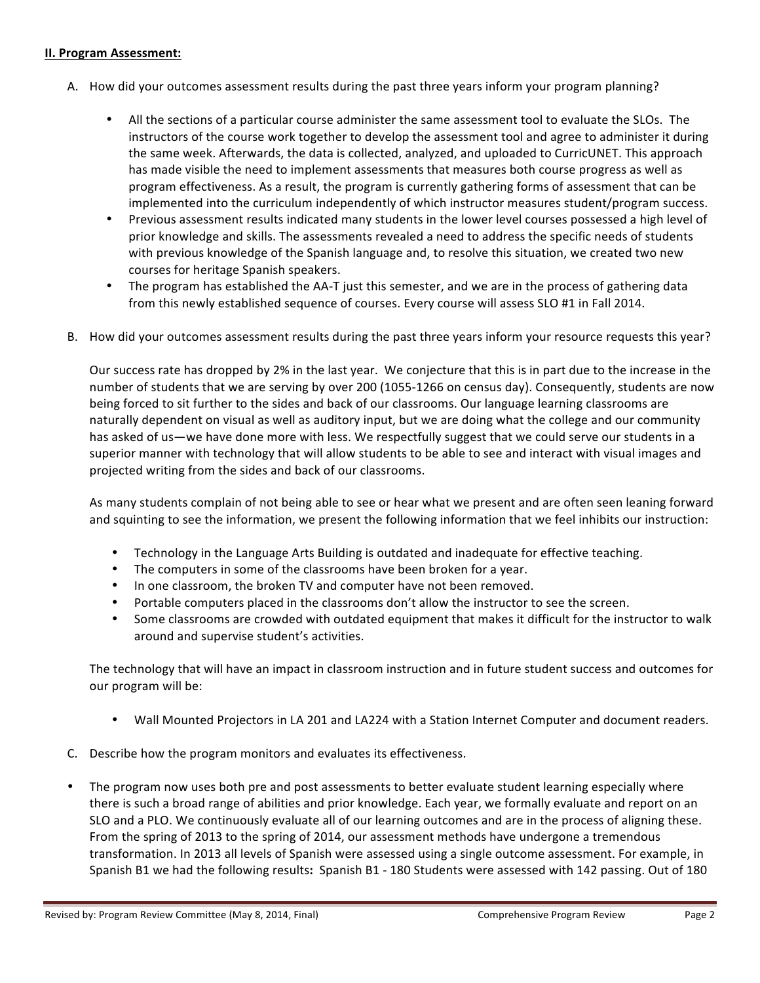#### **II. Program Assessment:**

- A. How did your outcomes assessment results during the past three years inform your program planning?
	- All the sections of a particular course administer the same assessment tool to evaluate the SLOs. The instructors of the course work together to develop the assessment tool and agree to administer it during the same week. Afterwards, the data is collected, analyzed, and uploaded to CurricUNET. This approach has made visible the need to implement assessments that measures both course progress as well as program effectiveness. As a result, the program is currently gathering forms of assessment that can be implemented into the curriculum independently of which instructor measures student/program success.
	- Previous assessment results indicated many students in the lower level courses possessed a high level of prior knowledge and skills. The assessments revealed a need to address the specific needs of students with previous knowledge of the Spanish language and, to resolve this situation, we created two new courses for heritage Spanish speakers.
	- The program has established the AA-T just this semester, and we are in the process of gathering data from this newly established sequence of courses. Every course will assess SLO #1 in Fall 2014.
- B. How did your outcomes assessment results during the past three years inform your resource requests this year?

Our success rate has dropped by 2% in the last year. We conjecture that this is in part due to the increase in the number of students that we are serving by over 200 (1055-1266 on census day). Consequently, students are now being forced to sit further to the sides and back of our classrooms. Our language learning classrooms are naturally dependent on visual as well as auditory input, but we are doing what the college and our community has asked of us—we have done more with less. We respectfully suggest that we could serve our students in a superior manner with technology that will allow students to be able to see and interact with visual images and projected writing from the sides and back of our classrooms.

As many students complain of not being able to see or hear what we present and are often seen leaning forward and squinting to see the information, we present the following information that we feel inhibits our instruction:

- Technology in the Language Arts Building is outdated and inadequate for effective teaching.
- The computers in some of the classrooms have been broken for a year.
- In one classroom, the broken TV and computer have not been removed.
- Portable computers placed in the classrooms don't allow the instructor to see the screen.
- Some classrooms are crowded with outdated equipment that makes it difficult for the instructor to walk around and supervise student's activities.

The technology that will have an impact in classroom instruction and in future student success and outcomes for our program will be:

- Wall Mounted Projectors in LA 201 and LA224 with a Station Internet Computer and document readers.
- C. Describe how the program monitors and evaluates its effectiveness.
- The program now uses both pre and post assessments to better evaluate student learning especially where there is such a broad range of abilities and prior knowledge. Each year, we formally evaluate and report on an SLO and a PLO. We continuously evaluate all of our learning outcomes and are in the process of aligning these. From the spring of 2013 to the spring of 2014, our assessment methods have undergone a tremendous transformation. In 2013 all levels of Spanish were assessed using a single outcome assessment. For example, in Spanish B1 we had the following results: Spanish B1 - 180 Students were assessed with 142 passing. Out of 180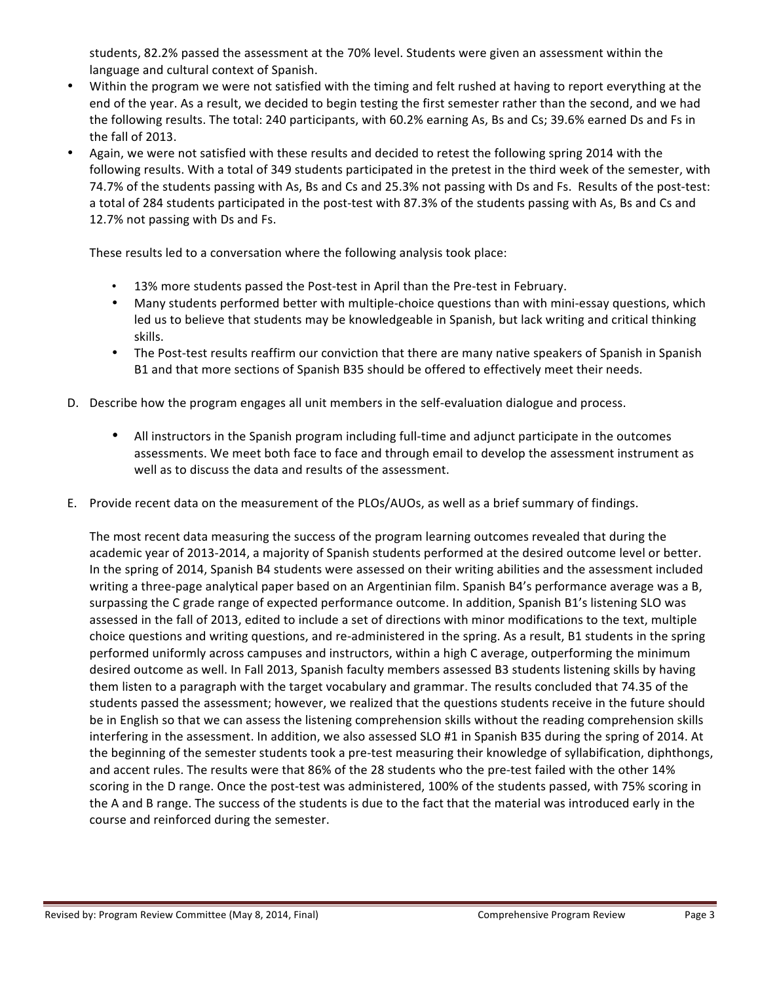students, 82.2% passed the assessment at the 70% level. Students were given an assessment within the language and cultural context of Spanish.

- Within the program we were not satisfied with the timing and felt rushed at having to report everything at the end of the year. As a result, we decided to begin testing the first semester rather than the second, and we had the following results. The total: 240 participants, with 60.2% earning As, Bs and Cs; 39.6% earned Ds and Fs in the fall of 2013.
- Again, we were not satisfied with these results and decided to retest the following spring 2014 with the following results. With a total of 349 students participated in the pretest in the third week of the semester, with 74.7% of the students passing with As, Bs and Cs and 25.3% not passing with Ds and Fs. Results of the post-test: a total of 284 students participated in the post-test with 87.3% of the students passing with As, Bs and Cs and 12.7% not passing with Ds and Fs.

These results led to a conversation where the following analysis took place:

- 13% more students passed the Post-test in April than the Pre-test in February.
- Many students performed better with multiple-choice questions than with mini-essay questions, which led us to believe that students may be knowledgeable in Spanish, but lack writing and critical thinking skills.
- The Post-test results reaffirm our conviction that there are many native speakers of Spanish in Spanish B1 and that more sections of Spanish B35 should be offered to effectively meet their needs.
- D. Describe how the program engages all unit members in the self-evaluation dialogue and process.
	- All instructors in the Spanish program including full-time and adjunct participate in the outcomes assessments. We meet both face to face and through email to develop the assessment instrument as well as to discuss the data and results of the assessment.
- E. Provide recent data on the measurement of the PLOs/AUOs, as well as a brief summary of findings.

The most recent data measuring the success of the program learning outcomes revealed that during the academic year of 2013-2014, a majority of Spanish students performed at the desired outcome level or better. In the spring of 2014, Spanish B4 students were assessed on their writing abilities and the assessment included writing a three-page analytical paper based on an Argentinian film. Spanish B4's performance average was a B, surpassing the C grade range of expected performance outcome. In addition, Spanish B1's listening SLO was assessed in the fall of 2013, edited to include a set of directions with minor modifications to the text, multiple choice questions and writing questions, and re-administered in the spring. As a result, B1 students in the spring performed uniformly across campuses and instructors, within a high C average, outperforming the minimum desired outcome as well. In Fall 2013, Spanish faculty members assessed B3 students listening skills by having them listen to a paragraph with the target vocabulary and grammar. The results concluded that 74.35 of the students passed the assessment; however, we realized that the questions students receive in the future should be in English so that we can assess the listening comprehension skills without the reading comprehension skills interfering in the assessment. In addition, we also assessed SLO #1 in Spanish B35 during the spring of 2014. At the beginning of the semester students took a pre-test measuring their knowledge of syllabification, diphthongs, and accent rules. The results were that 86% of the 28 students who the pre-test failed with the other 14% scoring in the D range. Once the post-test was administered, 100% of the students passed, with 75% scoring in the A and B range. The success of the students is due to the fact that the material was introduced early in the course and reinforced during the semester.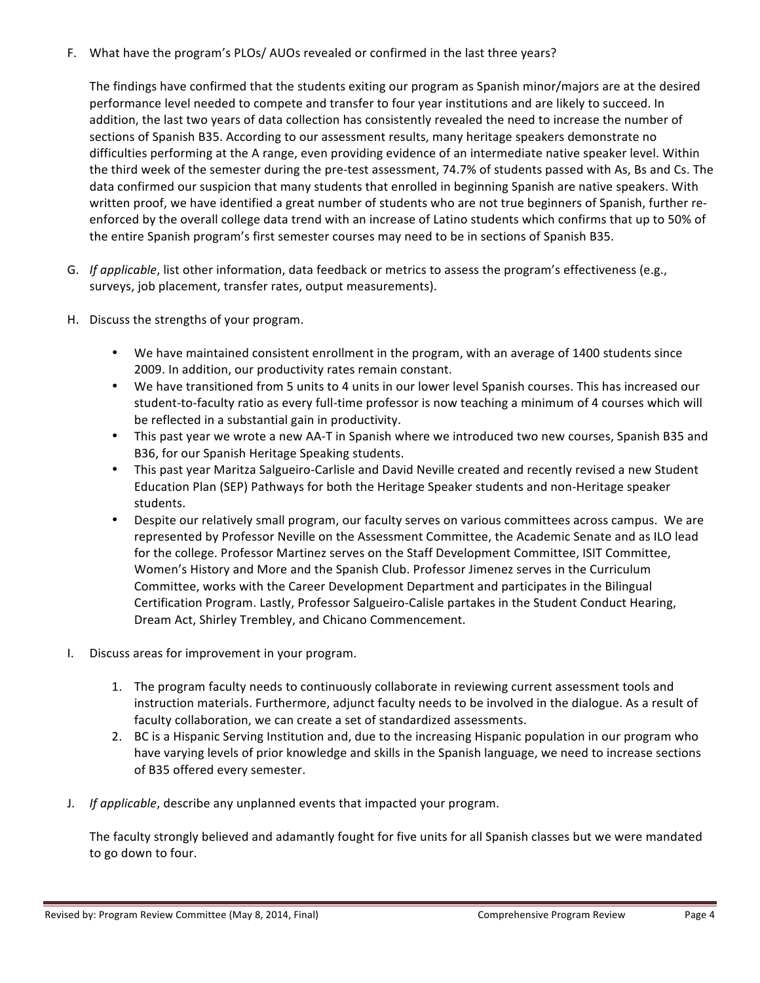F. What have the program's PLOs/ AUOs revealed or confirmed in the last three years?

The findings have confirmed that the students exiting our program as Spanish minor/majors are at the desired performance level needed to compete and transfer to four year institutions and are likely to succeed. In addition, the last two years of data collection has consistently revealed the need to increase the number of sections of Spanish B35. According to our assessment results, many heritage speakers demonstrate no difficulties performing at the A range, even providing evidence of an intermediate native speaker level. Within the third week of the semester during the pre-test assessment, 74.7% of students passed with As, Bs and Cs. The data confirmed our suspicion that many students that enrolled in beginning Spanish are native speakers. With written proof, we have identified a great number of students who are not true beginners of Spanish, further reenforced by the overall college data trend with an increase of Latino students which confirms that up to 50% of the entire Spanish program's first semester courses may need to be in sections of Spanish B35.

- G. If applicable, list other information, data feedback or metrics to assess the program's effectiveness (e.g., surveys, job placement, transfer rates, output measurements).
- H. Discuss the strengths of your program.
	- We have maintained consistent enrollment in the program, with an average of 1400 students since 2009. In addition, our productivity rates remain constant.
	- We have transitioned from 5 units to 4 units in our lower level Spanish courses. This has increased our student-to-faculty ratio as every full-time professor is now teaching a minimum of 4 courses which will be reflected in a substantial gain in productivity.
	- This past year we wrote a new AA-T in Spanish where we introduced two new courses, Spanish B35 and B36, for our Spanish Heritage Speaking students.
	- This past year Maritza Salgueiro-Carlisle and David Neville created and recently revised a new Student Education Plan (SEP) Pathways for both the Heritage Speaker students and non-Heritage speaker students.
	- Despite our relatively small program, our faculty serves on various committees across campus. We are represented by Professor Neville on the Assessment Committee, the Academic Senate and as ILO lead for the college. Professor Martinez serves on the Staff Development Committee, ISIT Committee, Women's History and More and the Spanish Club. Professor Jimenez serves in the Curriculum Committee, works with the Career Development Department and participates in the Bilingual Certification Program. Lastly, Professor Salgueiro-Calisle partakes in the Student Conduct Hearing, Dream Act, Shirley Trembley, and Chicano Commencement.
- I. Discuss areas for improvement in your program.
	- 1. The program faculty needs to continuously collaborate in reviewing current assessment tools and instruction materials. Furthermore, adjunct faculty needs to be involved in the dialogue. As a result of faculty collaboration, we can create a set of standardized assessments.
	- 2. BC is a Hispanic Serving Institution and, due to the increasing Hispanic population in our program who have varying levels of prior knowledge and skills in the Spanish language, we need to increase sections of B35 offered every semester.
- J. *If applicable*, describe any unplanned events that impacted your program.

The faculty strongly believed and adamantly fought for five units for all Spanish classes but we were mandated to go down to four.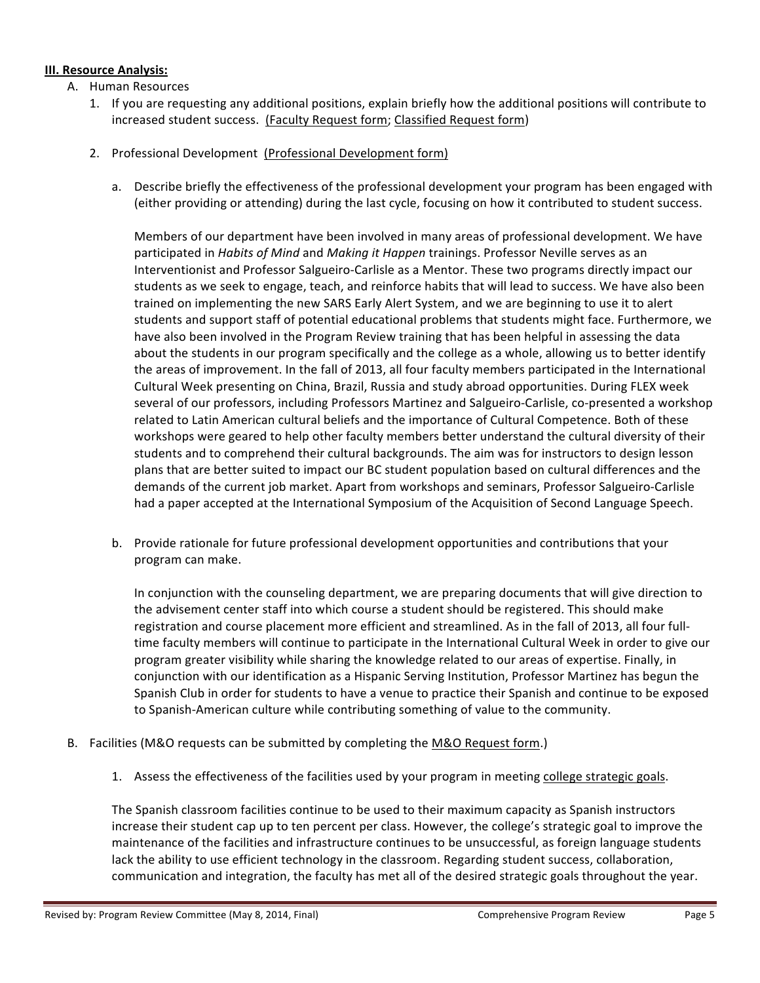# **III. Resource Analysis:**

- A. Human Resources
	- 1. If you are requesting any additional positions, explain briefly how the additional positions will contribute to increased student success. (Faculty Request form; Classified Request form)
	- 2. Professional Development (Professional Development form)
		- a. Describe briefly the effectiveness of the professional development your program has been engaged with (either providing or attending) during the last cycle, focusing on how it contributed to student success.

Members of our department have been involved in many areas of professional development. We have participated in *Habits of Mind* and *Making it Happen* trainings. Professor Neville serves as an Interventionist and Professor Salgueiro-Carlisle as a Mentor. These two programs directly impact our students as we seek to engage, teach, and reinforce habits that will lead to success. We have also been trained on implementing the new SARS Early Alert System, and we are beginning to use it to alert students and support staff of potential educational problems that students might face. Furthermore, we have also been involved in the Program Review training that has been helpful in assessing the data about the students in our program specifically and the college as a whole, allowing us to better identify the areas of improvement. In the fall of 2013, all four faculty members participated in the International Cultural Week presenting on China, Brazil, Russia and study abroad opportunities. During FLEX week several of our professors, including Professors Martinez and Salgueiro-Carlisle, co-presented a workshop related to Latin American cultural beliefs and the importance of Cultural Competence. Both of these workshops were geared to help other faculty members better understand the cultural diversity of their students and to comprehend their cultural backgrounds. The aim was for instructors to design lesson plans that are better suited to impact our BC student population based on cultural differences and the demands of the current job market. Apart from workshops and seminars, Professor Salgueiro-Carlisle had a paper accepted at the International Symposium of the Acquisition of Second Language Speech.

b. Provide rationale for future professional development opportunities and contributions that your program can make.

In conjunction with the counseling department, we are preparing documents that will give direction to the advisement center staff into which course a student should be registered. This should make registration and course placement more efficient and streamlined. As in the fall of 2013, all four fulltime faculty members will continue to participate in the International Cultural Week in order to give our program greater visibility while sharing the knowledge related to our areas of expertise. Finally, in conjunction with our identification as a Hispanic Serving Institution, Professor Martinez has begun the Spanish Club in order for students to have a venue to practice their Spanish and continue to be exposed to Spanish-American culture while contributing something of value to the community.

- B. Facilities (M&O requests can be submitted by completing the M&O Request form.)
	- 1. Assess the effectiveness of the facilities used by your program in meeting college strategic goals.

The Spanish classroom facilities continue to be used to their maximum capacity as Spanish instructors increase their student cap up to ten percent per class. However, the college's strategic goal to improve the maintenance of the facilities and infrastructure continues to be unsuccessful, as foreign language students lack the ability to use efficient technology in the classroom. Regarding student success, collaboration, communication and integration, the faculty has met all of the desired strategic goals throughout the year.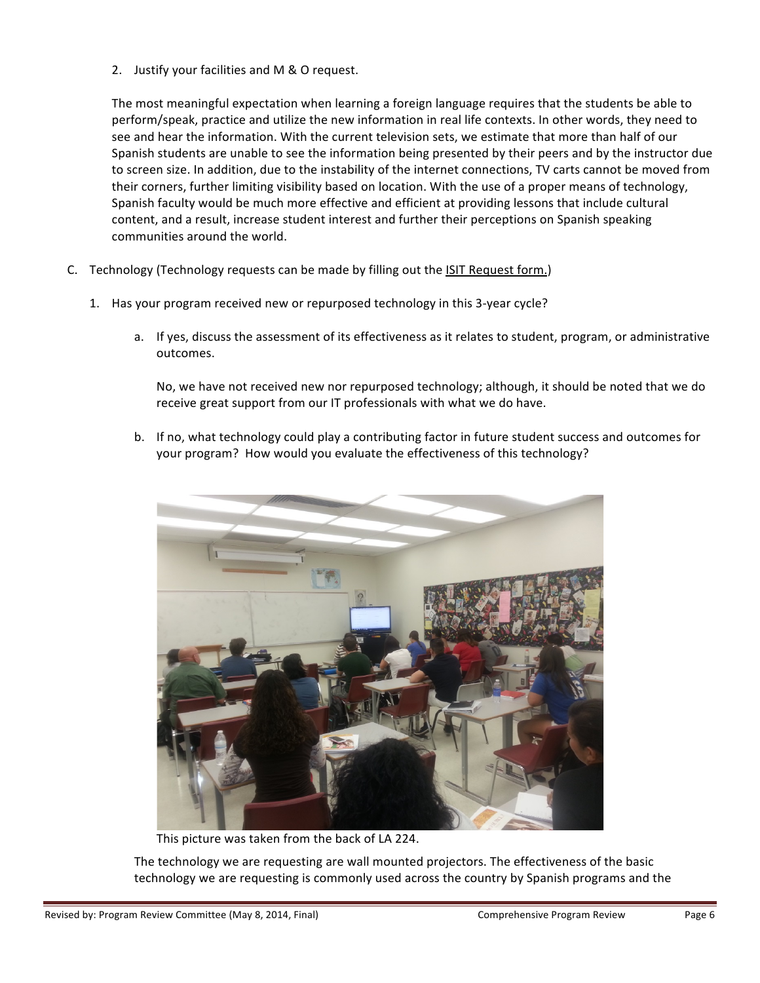2. Justify your facilities and M & O request.

The most meaningful expectation when learning a foreign language requires that the students be able to perform/speak, practice and utilize the new information in real life contexts. In other words, they need to see and hear the information. With the current television sets, we estimate that more than half of our Spanish students are unable to see the information being presented by their peers and by the instructor due to screen size. In addition, due to the instability of the internet connections, TV carts cannot be moved from their corners, further limiting visibility based on location. With the use of a proper means of technology, Spanish faculty would be much more effective and efficient at providing lessons that include cultural content, and a result, increase student interest and further their perceptions on Spanish speaking communities around the world.

- C. Technology (Technology requests can be made by filling out the ISIT Request form.)
	- 1. Has your program received new or repurposed technology in this 3-year cycle?
		- a. If yes, discuss the assessment of its effectiveness as it relates to student, program, or administrative outcomes.

No, we have not received new nor repurposed technology; although, it should be noted that we do receive great support from our IT professionals with what we do have.

b. If no, what technology could play a contributing factor in future student success and outcomes for your program? How would you evaluate the effectiveness of this technology?



This picture was taken from the back of LA 224.

The technology we are requesting are wall mounted projectors. The effectiveness of the basic technology we are requesting is commonly used across the country by Spanish programs and the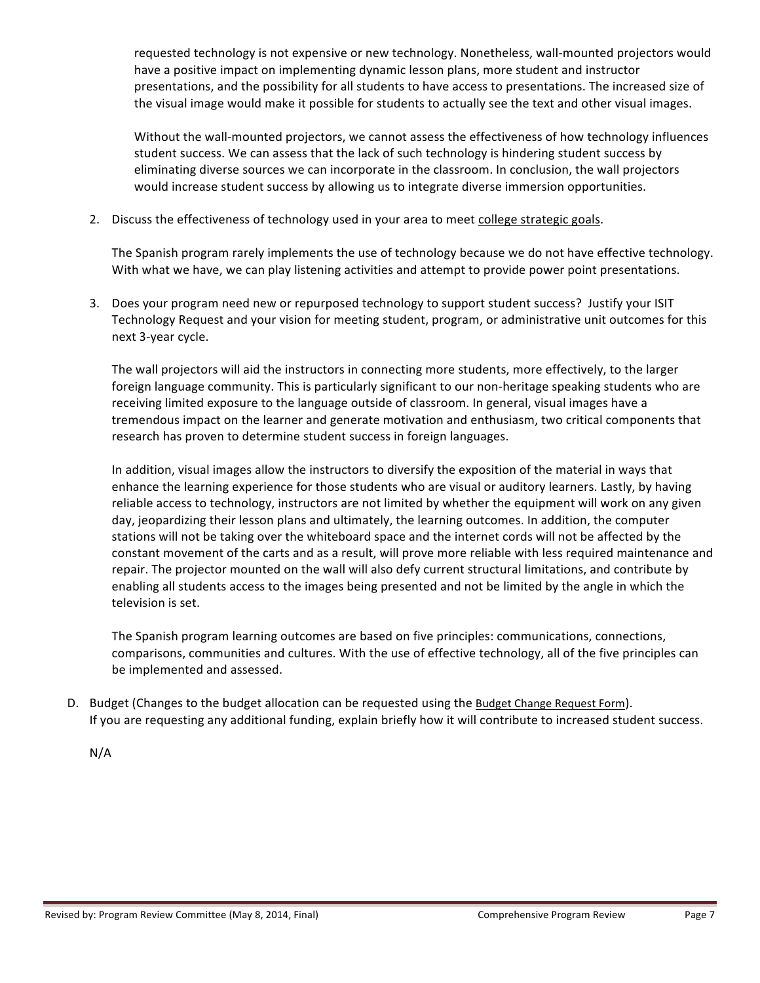requested technology is not expensive or new technology. Nonetheless, wall-mounted projectors would have a positive impact on implementing dynamic lesson plans, more student and instructor presentations, and the possibility for all students to have access to presentations. The increased size of the visual image would make it possible for students to actually see the text and other visual images.

Without the wall-mounted projectors, we cannot assess the effectiveness of how technology influences student success. We can assess that the lack of such technology is hindering student success by eliminating diverse sources we can incorporate in the classroom. In conclusion, the wall projectors would increase student success by allowing us to integrate diverse immersion opportunities.

2. Discuss the effectiveness of technology used in your area to meet college strategic goals.

The Spanish program rarely implements the use of technology because we do not have effective technology. With what we have, we can play listening activities and attempt to provide power point presentations.

3. Does your program need new or repurposed technology to support student success? Justify your ISIT Technology Request and your vision for meeting student, program, or administrative unit outcomes for this next 3-year cycle.

The wall projectors will aid the instructors in connecting more students, more effectively, to the larger foreign language community. This is particularly significant to our non-heritage speaking students who are receiving limited exposure to the language outside of classroom. In general, visual images have a tremendous impact on the learner and generate motivation and enthusiasm, two critical components that research has proven to determine student success in foreign languages.

In addition, visual images allow the instructors to diversify the exposition of the material in ways that enhance the learning experience for those students who are visual or auditory learners. Lastly, by having reliable access to technology, instructors are not limited by whether the equipment will work on any given day, jeopardizing their lesson plans and ultimately, the learning outcomes. In addition, the computer stations will not be taking over the whiteboard space and the internet cords will not be affected by the constant movement of the carts and as a result, will prove more reliable with less required maintenance and repair. The projector mounted on the wall will also defy current structural limitations, and contribute by enabling all students access to the images being presented and not be limited by the angle in which the television is set.

The Spanish program learning outcomes are based on five principles: communications, connections, comparisons, communities and cultures. With the use of effective technology, all of the five principles can be implemented and assessed.

D. Budget (Changes to the budget allocation can be requested using the Budget Change Request Form). If you are requesting any additional funding, explain briefly how it will contribute to increased student success.

N/A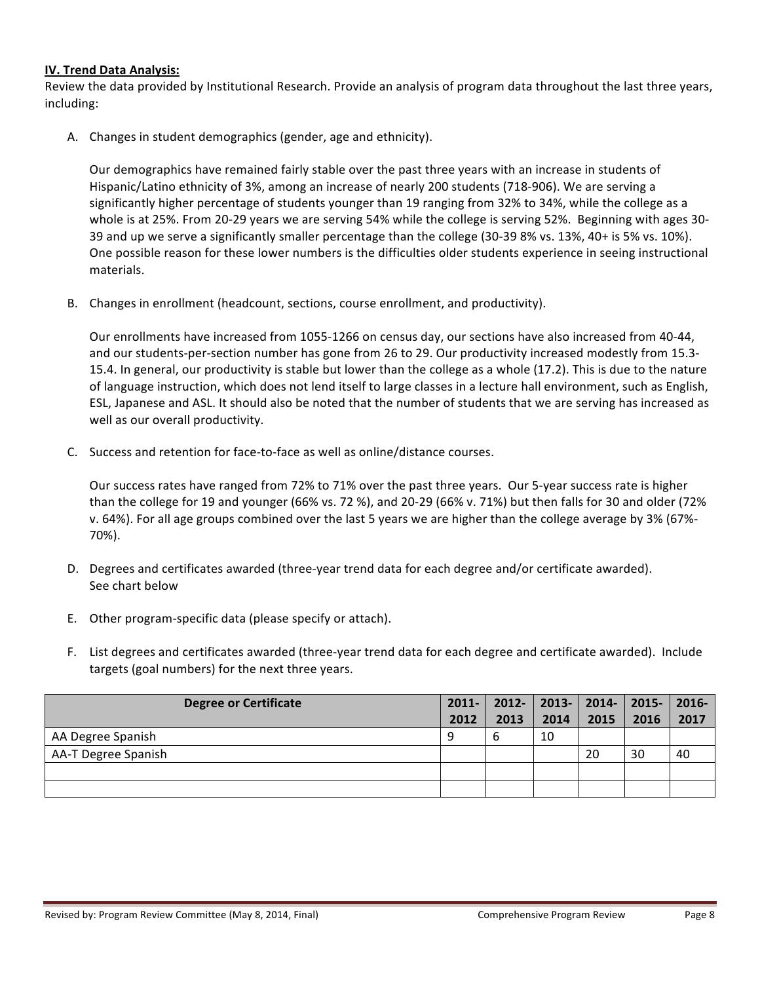# **IV. Trend Data Analysis:**

Review the data provided by Institutional Research. Provide an analysis of program data throughout the last three years, including:

A. Changes in student demographics (gender, age and ethnicity).

Our demographics have remained fairly stable over the past three years with an increase in students of Hispanic/Latino ethnicity of 3%, among an increase of nearly 200 students (718-906). We are serving a significantly higher percentage of students younger than 19 ranging from 32% to 34%, while the college as a whole is at 25%. From 20-29 years we are serving 54% while the college is serving 52%. Beginning with ages 30-39 and up we serve a significantly smaller percentage than the college (30-39 8% vs. 13%, 40+ is 5% vs. 10%). One possible reason for these lower numbers is the difficulties older students experience in seeing instructional materials.

B. Changes in enrollment (headcount, sections, course enrollment, and productivity).

Our enrollments have increased from 1055-1266 on census day, our sections have also increased from 40-44, and our students-per-section number has gone from 26 to 29. Our productivity increased modestly from 15.3-15.4. In general, our productivity is stable but lower than the college as a whole (17.2). This is due to the nature of language instruction, which does not lend itself to large classes in a lecture hall environment, such as English, ESL, Japanese and ASL. It should also be noted that the number of students that we are serving has increased as well as our overall productivity.

C. Success and retention for face-to-face as well as online/distance courses.

Our success rates have ranged from 72% to 71% over the past three years. Our 5-year success rate is higher than the college for 19 and younger (66% vs. 72 %), and 20-29 (66% v. 71%) but then falls for 30 and older (72% v. 64%). For all age groups combined over the last 5 years we are higher than the college average by 3% (67%-70%). 

- D. Degrees and certificates awarded (three-year trend data for each degree and/or certificate awarded). See chart below
- E. Other program-specific data (please specify or attach).
- F. List degrees and certificates awarded (three-year trend data for each degree and certificate awarded). Include targets (goal numbers) for the next three years.

| Degree or Certificate |      | 2011-   2012-   2013-   2014-   2015-   2016- |      |      |      |      |
|-----------------------|------|-----------------------------------------------|------|------|------|------|
|                       | 2012 | 2013                                          | 2014 | 2015 | 2016 | 2017 |
| AA Degree Spanish     | a    | 6                                             | 10   |      |      |      |
| AA-T Degree Spanish   |      |                                               |      | 20   | 30   | 40   |
|                       |      |                                               |      |      |      |      |
|                       |      |                                               |      |      |      |      |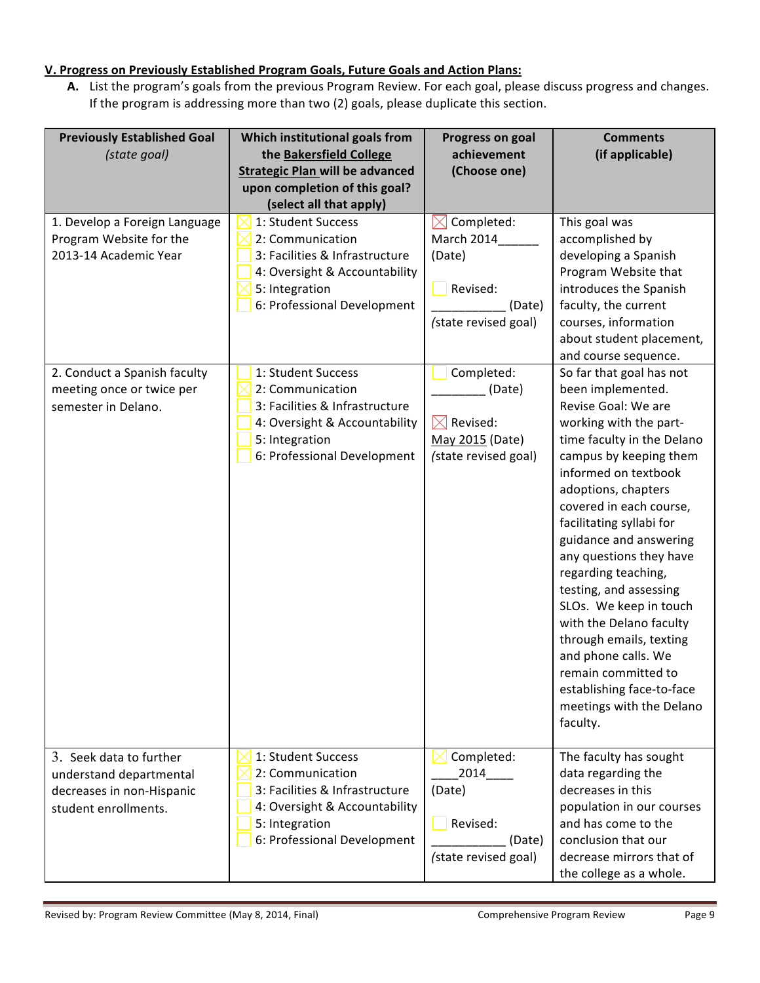# **<u>V. Progress on Previously Established Program Goals, Future Goals and Action Plans:</u>**

A. List the program's goals from the previous Program Review. For each goal, please discuss progress and changes. If the program is addressing more than two (2) goals, please duplicate this section.

| <b>Previously Established Goal</b><br>(state goal)                                                                | Which institutional goals from<br>the Bakersfield College<br><b>Strategic Plan will be advanced</b><br>upon completion of this goal?<br>(select all that apply)                  | <b>Progress on goal</b><br>achievement<br>(Choose one)                                         | <b>Comments</b><br>(if applicable)                                                                                                                                                                                                                                                                                                                                                                                                                                                                                                        |
|-------------------------------------------------------------------------------------------------------------------|----------------------------------------------------------------------------------------------------------------------------------------------------------------------------------|------------------------------------------------------------------------------------------------|-------------------------------------------------------------------------------------------------------------------------------------------------------------------------------------------------------------------------------------------------------------------------------------------------------------------------------------------------------------------------------------------------------------------------------------------------------------------------------------------------------------------------------------------|
| 1. Develop a Foreign Language<br>Program Website for the<br>2013-14 Academic Year<br>2. Conduct a Spanish faculty | 1: Student Success<br>2: Communication<br>3: Facilities & Infrastructure<br>4: Oversight & Accountability<br>5: Integration<br>6: Professional Development<br>1: Student Success | Completed:<br>March 2014<br>(Date)<br>Revised:<br>(Date)<br>(state revised goal)<br>Completed: | This goal was<br>accomplished by<br>developing a Spanish<br>Program Website that<br>introduces the Spanish<br>faculty, the current<br>courses, information<br>about student placement,<br>and course sequence.<br>So far that goal has not                                                                                                                                                                                                                                                                                                |
| meeting once or twice per<br>semester in Delano.                                                                  | 2: Communication<br>3: Facilities & Infrastructure<br>4: Oversight & Accountability<br>5: Integration<br>6: Professional Development                                             | (Date)<br>$\boxtimes$ Revised:<br>May 2015 (Date)<br>(state revised goal)                      | been implemented.<br>Revise Goal: We are<br>working with the part-<br>time faculty in the Delano<br>campus by keeping them<br>informed on textbook<br>adoptions, chapters<br>covered in each course,<br>facilitating syllabi for<br>guidance and answering<br>any questions they have<br>regarding teaching,<br>testing, and assessing<br>SLOs. We keep in touch<br>with the Delano faculty<br>through emails, texting<br>and phone calls. We<br>remain committed to<br>establishing face-to-face<br>meetings with the Delano<br>faculty. |
| 3. Seek data to further<br>understand departmental<br>decreases in non-Hispanic<br>student enrollments.           | 1: Student Success<br>2: Communication<br>3: Facilities & Infrastructure<br>4: Oversight & Accountability<br>5: Integration<br>6: Professional Development                       | Completed:<br>2014<br>(Date)<br>Revised:<br>(Date)<br>(state revised goal)                     | The faculty has sought<br>data regarding the<br>decreases in this<br>population in our courses<br>and has come to the<br>conclusion that our<br>decrease mirrors that of<br>the college as a whole.                                                                                                                                                                                                                                                                                                                                       |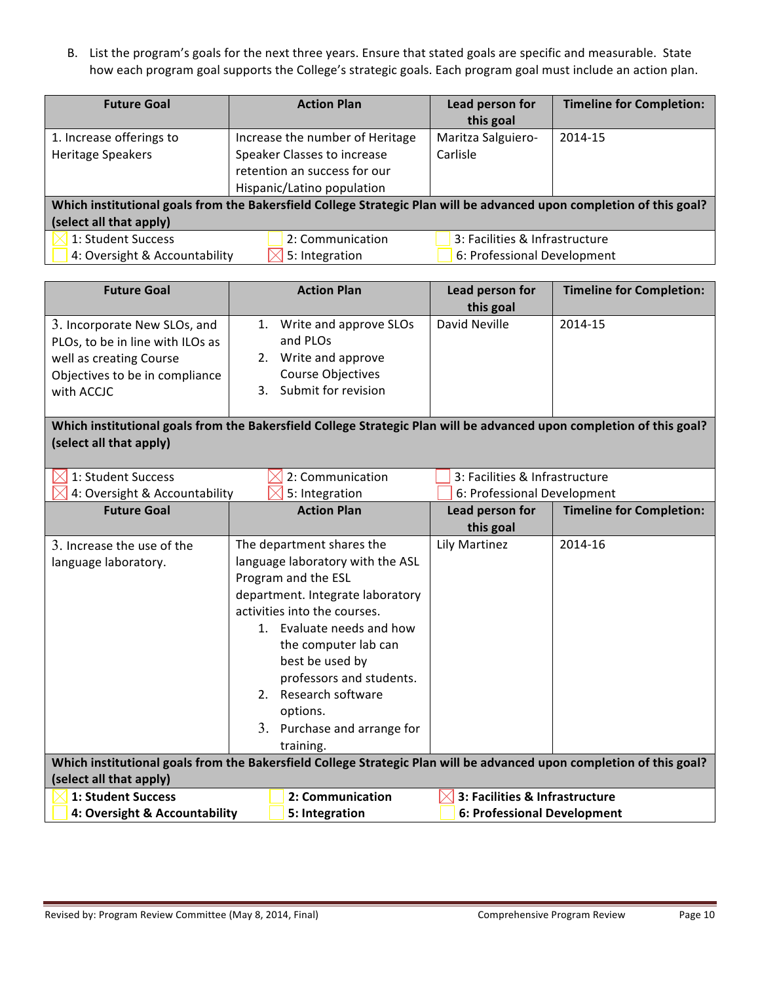B. List the program's goals for the next three years. Ensure that stated goals are specific and measurable. State how each program goal supports the College's strategic goals. Each program goal must include an action plan.

| <b>Future Goal</b>                                                                                                   | <b>Action Plan</b>              | Lead person for                | <b>Timeline for Completion:</b> |  |  |
|----------------------------------------------------------------------------------------------------------------------|---------------------------------|--------------------------------|---------------------------------|--|--|
|                                                                                                                      |                                 | this goal                      |                                 |  |  |
| 1. Increase offerings to                                                                                             | Increase the number of Heritage | Maritza Salguiero-             | 2014-15                         |  |  |
| <b>Heritage Speakers</b>                                                                                             | Speaker Classes to increase     | Carlisle                       |                                 |  |  |
|                                                                                                                      | retention an success for our    |                                |                                 |  |  |
|                                                                                                                      | Hispanic/Latino population      |                                |                                 |  |  |
| Which institutional goals from the Bakersfield College Strategic Plan will be advanced upon completion of this goal? |                                 |                                |                                 |  |  |
| (select all that apply)                                                                                              |                                 |                                |                                 |  |  |
| 1: Student Success                                                                                                   | 2: Communication                | 3: Facilities & Infrastructure |                                 |  |  |
| 4: Oversight & Accountability                                                                                        | 5: Integration                  | 6: Professional Development    |                                 |  |  |

| <b>Future Goal</b>               | <b>Action Plan</b>                                                                                                   | Lead person for                | <b>Timeline for Completion:</b> |
|----------------------------------|----------------------------------------------------------------------------------------------------------------------|--------------------------------|---------------------------------|
|                                  |                                                                                                                      | this goal                      |                                 |
| 3. Incorporate New SLOs, and     | Write and approve SLOs<br>1.                                                                                         | David Neville                  | 2014-15                         |
| PLOs, to be in line with ILOs as | and PLOs                                                                                                             |                                |                                 |
| well as creating Course          | Write and approve<br>2.                                                                                              |                                |                                 |
| Objectives to be in compliance   | Course Objectives                                                                                                    |                                |                                 |
| with ACCJC                       | Submit for revision<br>3.                                                                                            |                                |                                 |
|                                  |                                                                                                                      |                                |                                 |
|                                  | Which institutional goals from the Bakersfield College Strategic Plan will be advanced upon completion of this goal? |                                |                                 |
| (select all that apply)          |                                                                                                                      |                                |                                 |
|                                  |                                                                                                                      |                                |                                 |
| 1: Student Success               | 2: Communication                                                                                                     | 3: Facilities & Infrastructure |                                 |
| 4: Oversight & Accountability    | 5: Integration                                                                                                       | 6: Professional Development    |                                 |
| <b>Future Goal</b>               | <b>Action Plan</b>                                                                                                   | Lead person for                | <b>Timeline for Completion:</b> |
|                                  |                                                                                                                      | this goal                      |                                 |
| 3. Increase the use of the       | The department shares the                                                                                            | Lily Martinez                  | 2014-16                         |
| language laboratory.             | language laboratory with the ASL                                                                                     |                                |                                 |
|                                  | Program and the ESL                                                                                                  |                                |                                 |
|                                  | department. Integrate laboratory                                                                                     |                                |                                 |
|                                  | activities into the courses.                                                                                         |                                |                                 |
|                                  | 1. Evaluate needs and how                                                                                            |                                |                                 |
|                                  | the computer lab can                                                                                                 |                                |                                 |

| 2.                                                                                                                                              | Evaluate needs and how<br>the computer lab can<br>best be used by<br>professors and students.<br>Research software<br>options. |                                                               |  |
|-------------------------------------------------------------------------------------------------------------------------------------------------|--------------------------------------------------------------------------------------------------------------------------------|---------------------------------------------------------------|--|
| 3.                                                                                                                                              | Purchase and arrange for<br>training.                                                                                          |                                                               |  |
| Which institutional goals from the Bakersfield College Strategic Plan will be advanced upon completion of this goal?<br>(select all that apply) |                                                                                                                                |                                                               |  |
| 1: Student Success<br>4: Oversight & Accountability                                                                                             | 2: Communication<br>5: Integration                                                                                             | 3: Facilities & Infrastructure<br>6: Professional Development |  |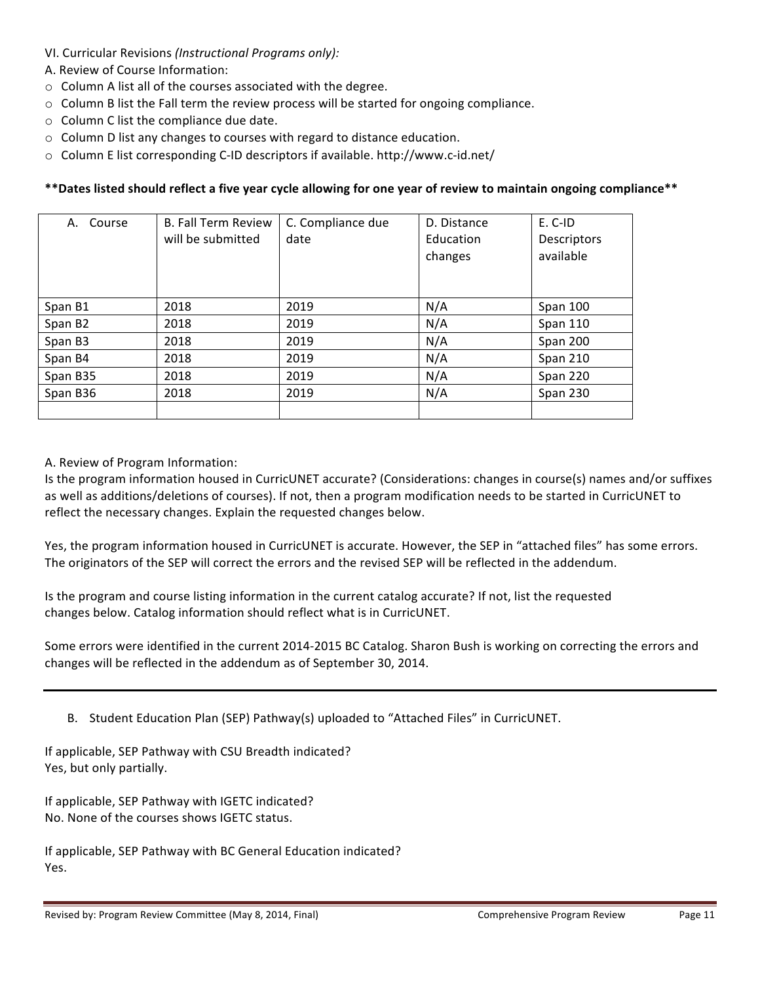- VI. Curricular Revisions (Instructional Programs only):
- A. Review of Course Information:
- $\circ$  Column A list all of the courses associated with the degree.
- $\circ$  Column B list the Fall term the review process will be started for ongoing compliance.
- $\circ$  Column C list the compliance due date.
- $\circ$  Column D list any changes to courses with regard to distance education.
- $\circ$  Column E list corresponding C-ID descriptors if available. http://www.c-id.net/

# \*\*Dates listed should reflect a five year cycle allowing for one year of review to maintain ongoing compliance\*\*

| A. Course           | <b>B. Fall Term Review</b><br>will be submitted | C. Compliance due<br>date | D. Distance<br>Education<br>changes | E. C-ID<br>Descriptors<br>available |
|---------------------|-------------------------------------------------|---------------------------|-------------------------------------|-------------------------------------|
| Span B1             | 2018                                            | 2019                      | N/A                                 | Span 100                            |
| Span B <sub>2</sub> | 2018                                            | 2019                      | N/A                                 | <b>Span 110</b>                     |
| Span B3             | 2018                                            | 2019                      | N/A                                 | Span 200                            |
| Span B4             | 2018                                            | 2019                      | N/A                                 | Span 210                            |
| Span B35            | 2018                                            | 2019                      | N/A                                 | Span 220                            |
| Span B36            | 2018                                            | 2019                      | N/A                                 | Span 230                            |
|                     |                                                 |                           |                                     |                                     |

### A. Review of Program Information:

Is the program information housed in CurricUNET accurate? (Considerations: changes in course(s) names and/or suffixes as well as additions/deletions of courses). If not, then a program modification needs to be started in CurricUNET to reflect the necessary changes. Explain the requested changes below.

Yes, the program information housed in CurricUNET is accurate. However, the SEP in "attached files" has some errors. The originators of the SEP will correct the errors and the revised SEP will be reflected in the addendum.

Is the program and course listing information in the current catalog accurate? If not, list the requested changes below. Catalog information should reflect what is in CurricUNET.

Some errors were identified in the current 2014-2015 BC Catalog. Sharon Bush is working on correcting the errors and changes will be reflected in the addendum as of September 30, 2014.

B. Student Education Plan (SEP) Pathway(s) uploaded to "Attached Files" in CurricUNET.

If applicable, SEP Pathway with CSU Breadth indicated? Yes, but only partially.

If applicable, SEP Pathway with IGETC indicated? No. None of the courses shows IGETC status.

If applicable, SEP Pathway with BC General Education indicated? Yes.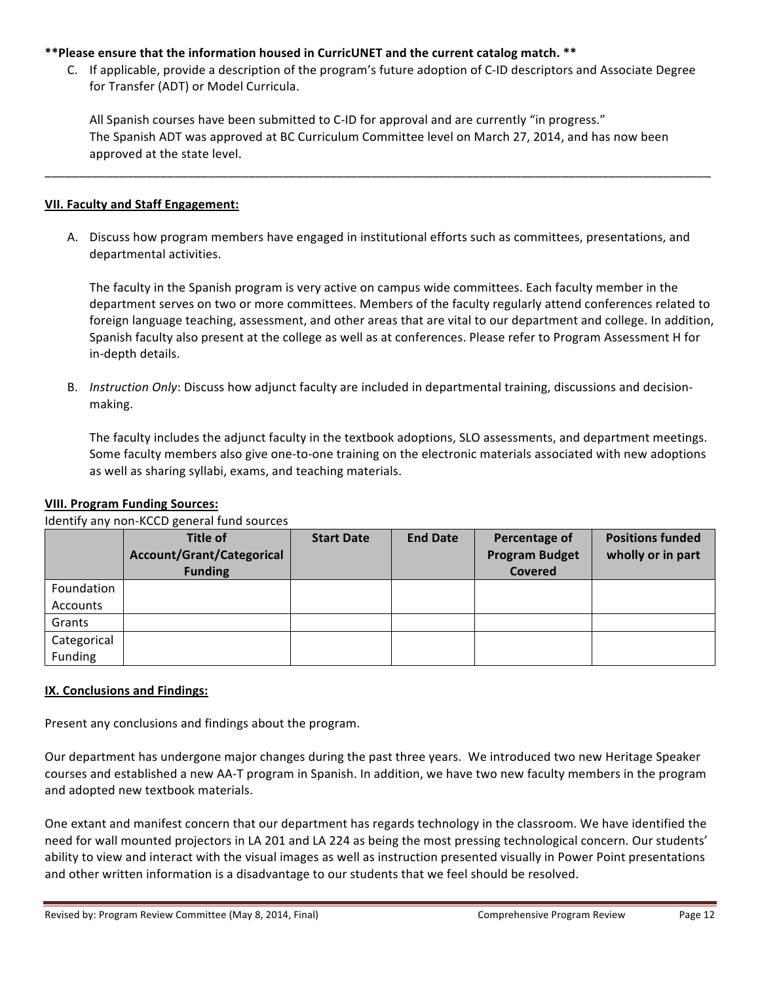### \*\*Please ensure that the information housed in CurricUNET and the current catalog match. \*\*

C. If applicable, provide a description of the program's future adoption of C-ID descriptors and Associate Degree for Transfer (ADT) or Model Curricula.

All Spanish courses have been submitted to C-ID for approval and are currently "in progress." The Spanish ADT was approved at BC Curriculum Committee level on March 27, 2014, and has now been approved at the state level.

\_\_\_\_\_\_\_\_\_\_\_\_\_\_\_\_\_\_\_\_\_\_\_\_\_\_\_\_\_\_\_\_\_\_\_\_\_\_\_\_\_\_\_\_\_\_\_\_\_\_\_\_\_\_\_\_\_\_\_\_\_\_\_\_\_\_\_\_\_\_\_\_\_\_\_\_\_\_\_\_\_\_\_\_\_\_\_\_\_\_\_\_\_\_\_\_\_\_

#### **VII. Faculty and Staff Engagement:**

A. Discuss how program members have engaged in institutional efforts such as committees, presentations, and departmental activities.

The faculty in the Spanish program is very active on campus wide committees. Each faculty member in the department serves on two or more committees. Members of the faculty regularly attend conferences related to foreign language teaching, assessment, and other areas that are vital to our department and college. In addition, Spanish faculty also present at the college as well as at conferences. Please refer to Program Assessment H for in-depth details.

B. *Instruction Only*: Discuss how adjunct faculty are included in departmental training, discussions and decisionmaking.

The faculty includes the adjunct faculty in the textbook adoptions, SLO assessments, and department meetings. Some faculty members also give one-to-one training on the electronic materials associated with new adoptions as well as sharing syllabi, exams, and teaching materials.

### **VIII. Program Funding Sources:**

Identify any non-KCCD general fund sources

|             | <b>Title of</b><br><b>Account/Grant/Categorical</b><br><b>Funding</b> | <b>Start Date</b> | <b>End Date</b> | Percentage of<br><b>Program Budget</b><br>Covered | <b>Positions funded</b><br>wholly or in part |
|-------------|-----------------------------------------------------------------------|-------------------|-----------------|---------------------------------------------------|----------------------------------------------|
| Foundation  |                                                                       |                   |                 |                                                   |                                              |
| Accounts    |                                                                       |                   |                 |                                                   |                                              |
| Grants      |                                                                       |                   |                 |                                                   |                                              |
| Categorical |                                                                       |                   |                 |                                                   |                                              |
| Funding     |                                                                       |                   |                 |                                                   |                                              |

### **IX. Conclusions and Findings:**

Present any conclusions and findings about the program.

Our department has undergone major changes during the past three years. We introduced two new Heritage Speaker courses and established a new AA-T program in Spanish. In addition, we have two new faculty members in the program and adopted new textbook materials.

One extant and manifest concern that our department has regards technology in the classroom. We have identified the need for wall mounted projectors in LA 201 and LA 224 as being the most pressing technological concern. Our students' ability to view and interact with the visual images as well as instruction presented visually in Power Point presentations and other written information is a disadvantage to our students that we feel should be resolved.